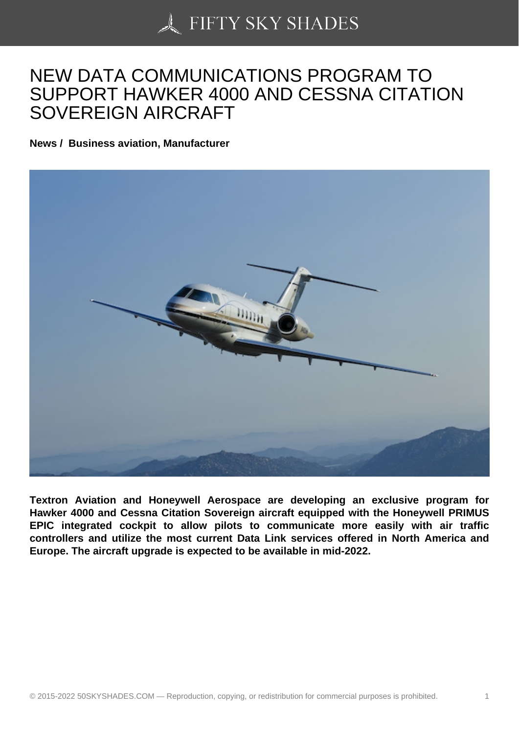## [NEW DATA COMMUN](https://50skyshades.com)ICATIONS PROGRAM TO SUPPORT HAWKER 4000 AND CESSNA CITATION SOVEREIGN AIRCRAFT

News / Business aviation, Manufacturer

Textron Aviation and Honeywell Aerospace are developing an exclusive program for Hawker 4000 and Cessna Citation Sovereign aircraft equipped with the Honeywell PRIMUS EPIC integrated cockpit to allow pilots to communicate more easily with air traffic controllers and utilize the most current Data Link services offered in North America and Europe. The aircraft upgrade is expected to be available in mid-2022.